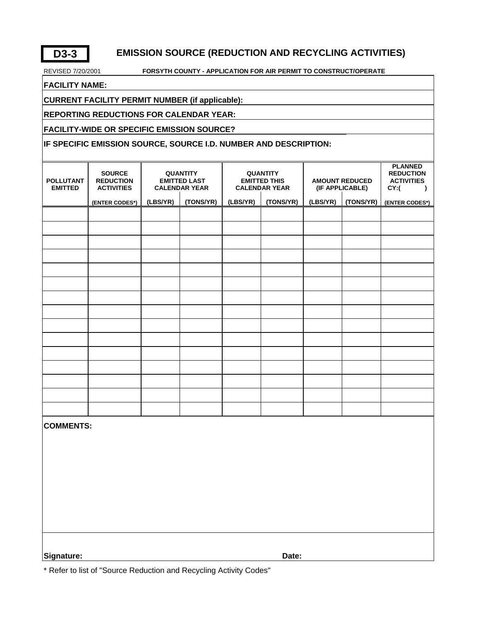## **D3-3 EMISSION SOURCE (REDUCTION AND RECYCLING ACTIVITIES)**

#### REVISED 7/20/2001 **FORSYTH COUNTY - APPLICATION FOR AIR PERMIT TO CONSTRUCT/OPERATE**

**FACILITY NAME:** 

**CURRENT FACILITY PERMIT NUMBER (if applicable):**

#### **REPORTING REDUCTIONS FOR CALENDAR YEAR:**

**FACILITY-WIDE OR SPECIFIC EMISSION SOURCE?**

#### **IF SPECIFIC EMISSION SOURCE, SOURCE I.D. NUMBER AND DESCRIPTION:**

| <b>POLLUTANT</b><br><b>EMITTED</b> | <b>SOURCE</b><br><b>REDUCTION</b><br><b>ACTIVITIES</b> |          | <b>QUANTITY</b><br><b>EMITTED LAST</b><br><b>CALENDAR YEAR</b> |          | <b>QUANTITY</b><br><b>EMITTED THIS</b><br><b>CALENDAR YEAR</b> | <b>AMOUNT REDUCED</b><br>(IF APPLICABLE) |           | <b>PLANNED</b><br><b>REDUCTION</b><br><b>ACTIVITIES</b><br>CY:(<br>$\lambda$ |
|------------------------------------|--------------------------------------------------------|----------|----------------------------------------------------------------|----------|----------------------------------------------------------------|------------------------------------------|-----------|------------------------------------------------------------------------------|
|                                    | (ENTER CODES*)                                         | (LBS/YR) | (TONS/YR)                                                      | (LBS/YR) | (TONS/YR)                                                      | (LBS/YR)                                 | (TONS/YR) | (ENTER CODES*)                                                               |
|                                    |                                                        |          |                                                                |          |                                                                |                                          |           |                                                                              |
|                                    |                                                        |          |                                                                |          |                                                                |                                          |           |                                                                              |
|                                    |                                                        |          |                                                                |          |                                                                |                                          |           |                                                                              |
|                                    |                                                        |          |                                                                |          |                                                                |                                          |           |                                                                              |
|                                    |                                                        |          |                                                                |          |                                                                |                                          |           |                                                                              |
|                                    |                                                        |          |                                                                |          |                                                                |                                          |           |                                                                              |
|                                    |                                                        |          |                                                                |          |                                                                |                                          |           |                                                                              |
|                                    |                                                        |          |                                                                |          |                                                                |                                          |           |                                                                              |
|                                    |                                                        |          |                                                                |          |                                                                |                                          |           |                                                                              |
|                                    |                                                        |          |                                                                |          |                                                                |                                          |           |                                                                              |
|                                    |                                                        |          |                                                                |          |                                                                |                                          |           |                                                                              |
|                                    |                                                        |          |                                                                |          |                                                                |                                          |           |                                                                              |
|                                    |                                                        |          |                                                                |          |                                                                |                                          |           |                                                                              |
|                                    |                                                        |          |                                                                |          |                                                                |                                          |           |                                                                              |
|                                    |                                                        |          |                                                                |          |                                                                |                                          |           |                                                                              |
| <b>COMMENTS:</b>                   |                                                        |          |                                                                |          |                                                                |                                          |           |                                                                              |
|                                    |                                                        |          |                                                                |          |                                                                |                                          |           |                                                                              |
|                                    |                                                        |          |                                                                |          |                                                                |                                          |           |                                                                              |
|                                    |                                                        |          |                                                                |          |                                                                |                                          |           |                                                                              |
|                                    |                                                        |          |                                                                |          |                                                                |                                          |           |                                                                              |

**Signature: Date:**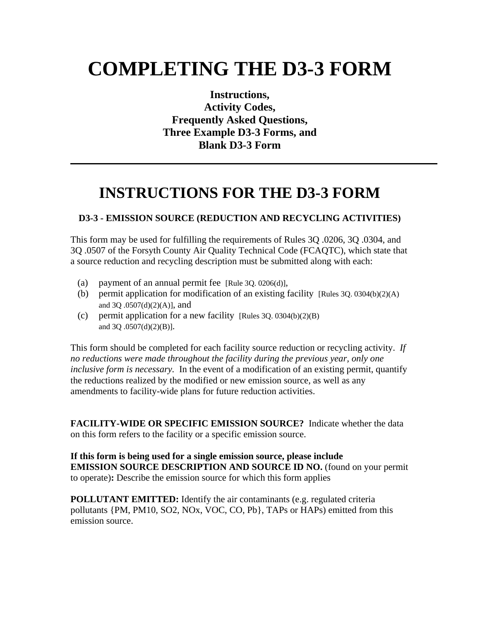# **COMPLETING THE D3-3 FORM**

**Instructions, Activity Codes, Frequently Asked Questions, Three Example D3-3 Forms, and Blank D3-3 Form**

## **INSTRUCTIONS FOR THE D3-3 FORM**

### **D3-3 - EMISSION SOURCE (REDUCTION AND RECYCLING ACTIVITIES)**

This form may be used for fulfilling the requirements of Rules 3Q .0206, 3Q .0304, and 3Q .0507 of the Forsyth County Air Quality Technical Code (FCAQTC), which state that a source reduction and recycling description must be submitted along with each:

- (a) payment of an annual permit fee [Rule 3Q. 0206(d)],
- (b) permit application for modification of an existing facility [Rules 3Q. 0304(b)(2)(A) and 3Q .0507(d)(2)(A)], and
- (c) permit application for a new facility [Rules 3Q. 0304(b)(2)(B) and 3Q .0507(d)(2)(B)].

This form should be completed for each facility source reduction or recycling activity. *If no reductions were made throughout the facility during the previous year, only one inclusive form is necessary.* In the event of a modification of an existing permit, quantify the reductions realized by the modified or new emission source, as well as any amendments to facility-wide plans for future reduction activities.

**FACILITY-WIDE OR SPECIFIC EMISSION SOURCE?** Indicate whether the data on this form refers to the facility or a specific emission source.

**If this form is being used for a single emission source, please include EMISSION SOURCE DESCRIPTION AND SOURCE ID NO.** (found on your permit to operate)**:** Describe the emission source for which this form applies

**POLLUTANT EMITTED:** Identify the air contaminants (e.g. regulated criteria pollutants {PM, PM10, SO2, NOx, VOC, CO, Pb}, TAPs or HAPs) emitted from this emission source.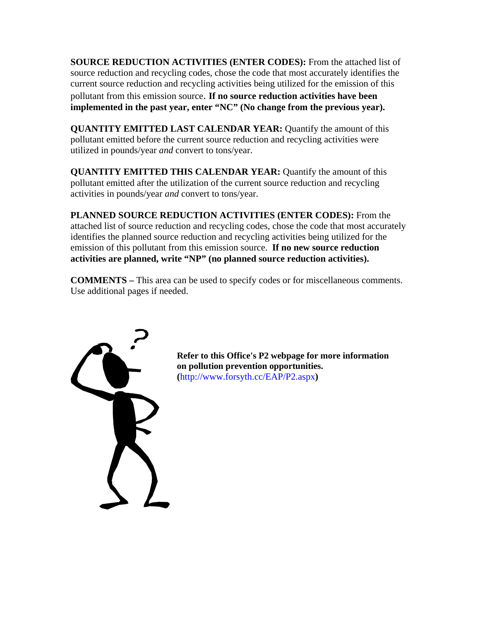**SOURCE REDUCTION ACTIVITIES (ENTER CODES):** From the attached list of source reduction and recycling codes, chose the code that most accurately identifies the current source reduction and recycling activities being utilized for the emission of this pollutant from this emission source. **If no source reduction activities have been implemented in the past year, enter "NC" (No change from the previous year).** 

**QUANTITY EMITTED LAST CALENDAR YEAR:** Quantify the amount of this pollutant emitted before the current source reduction and recycling activities were utilized in pounds/year *and* convert to tons/year.

**QUANTITY EMITTED THIS CALENDAR YEAR:** Quantify the amount of this pollutant emitted after the utilization of the current source reduction and recycling activities in pounds/year *and* convert to tons/year.

**PLANNED SOURCE REDUCTION ACTIVITIES (ENTER CODES):** From the attached list of source reduction and recycling codes, chose the code that most accurately identifies the planned source reduction and recycling activities being utilized for the emission of this pollutant from this emission source. **If no new source reduction activities are planned, write "NP" (no planned source reduction activities).** 

**COMMENTS –** This area can be used to specify codes or for miscellaneous comments. Use additional pages if needed.



**Refer to this Office's P2 webpage for more information on pollution prevention opportunities. (**http://www.forsyth.cc/EAP/P2.aspx**)**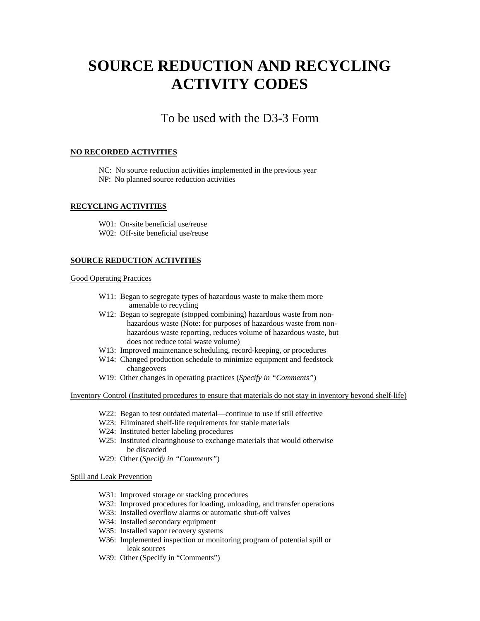## **SOURCE REDUCTION AND RECYCLING ACTIVITY CODES**

## To be used with the D3-3 Form

#### **NO RECORDED ACTIVITIES**

NC: No source reduction activities implemented in the previous year NP: No planned source reduction activities

#### **RECYCLING ACTIVITIES**

 W01: On-site beneficial use/reuse W02: Off-site beneficial use/reuse

#### **SOURCE REDUCTION ACTIVITIES**

#### Good Operating Practices

- W11: Began to segregate types of hazardous waste to make them more amenable to recycling
- W12: Began to segregate (stopped combining) hazardous waste from nonhazardous waste (Note: for purposes of hazardous waste from nonhazardous waste reporting, reduces volume of hazardous waste, but does not reduce total waste volume)
- W13: Improved maintenance scheduling, record-keeping, or procedures
- W14: Changed production schedule to minimize equipment and feedstock changeovers
- W19: Other changes in operating practices (*Specify in "Comments"*)

Inventory Control (Instituted procedures to ensure that materials do not stay in inventory beyond shelf-life)

- W22: Began to test outdated material—continue to use if still effective
- W23: Eliminated shelf-life requirements for stable materials
- W24: Instituted better labeling procedures
- W25: Instituted clearinghouse to exchange materials that would otherwise be discarded
- W29: Other (*Specify in "Comments"*)

#### Spill and Leak Prevention

- W31: Improved storage or stacking procedures
- W32: Improved procedures for loading, unloading, and transfer operations
- W33: Installed overflow alarms or automatic shut-off valves
- W34: Installed secondary equipment
- W35: Installed vapor recovery systems
- W36: Implemented inspection or monitoring program of potential spill or leak sources
- W39: Other (Specify in "Comments")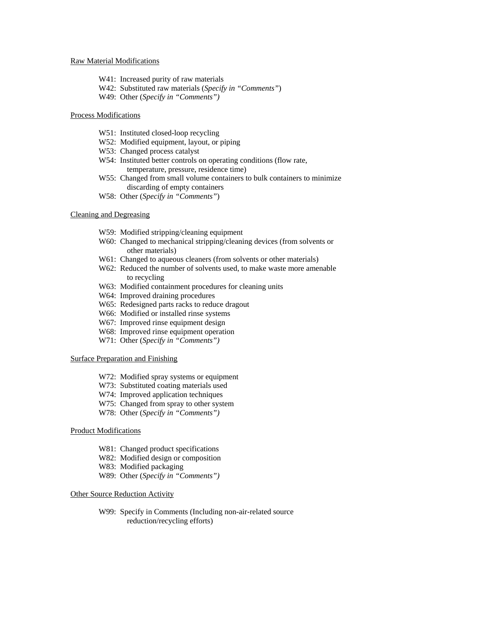#### Raw Material Modifications

- W41: Increased purity of raw materials
- W42: Substituted raw materials (*Specify in "Comments"*)
- W49: Other (*Specify in "Comments")*

#### Process Modifications

- W51: Instituted closed-loop recycling
- W52: Modified equipment, layout, or piping
- W53: Changed process catalyst
- W54: Instituted better controls on operating conditions (flow rate, temperature, pressure, residence time)
- W55: Changed from small volume containers to bulk containers to minimize discarding of empty containers
- W58: Other (*Specify in "Comments"*)

#### Cleaning and Degreasing

- W59: Modified stripping/cleaning equipment
- W60: Changed to mechanical stripping/cleaning devices (from solvents or other materials)
- W61: Changed to aqueous cleaners (from solvents or other materials)
- W62: Reduced the number of solvents used, to make waste more amenable to recycling
- W63: Modified containment procedures for cleaning units
- W64: Improved draining procedures
- W65: Redesigned parts racks to reduce dragout
- W66: Modified or installed rinse systems
- W67: Improved rinse equipment design
- W68: Improved rinse equipment operation
- W71: Other (*Specify in "Comments")*

#### Surface Preparation and Finishing

- W72: Modified spray systems or equipment
- W73: Substituted coating materials used
- W74: Improved application techniques
- W75: Changed from spray to other system
- W78: Other (*Specify in "Comments")*

#### Product Modifications

- W81: Changed product specifications
- W82: Modified design or composition
- W83: Modified packaging
- W89: Other (*Specify in "Comments")*

#### Other Source Reduction Activity

W99: Specify in Comments (Including non-air-related source reduction/recycling efforts)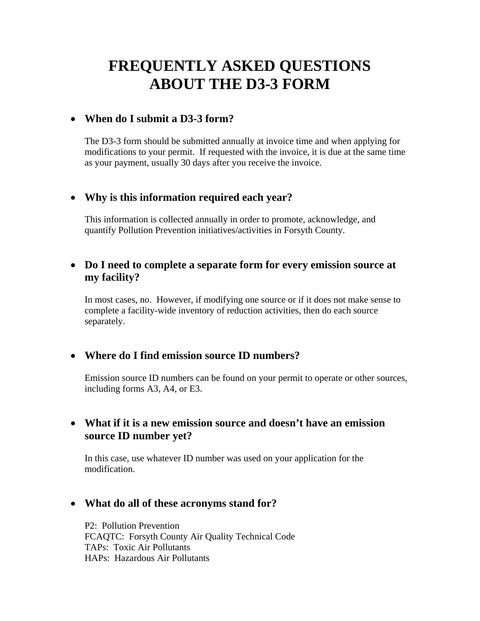## **FREQUENTLY ASKED QUESTIONS ABOUT THE D3-3 FORM**

### **When do I submit a D3-3 form?**

The D3-3 form should be submitted annually at invoice time and when applying for modifications to your permit. If requested with the invoice, it is due at the same time as your payment, usually 30 days after you receive the invoice.

## **Why is this information required each year?**

This information is collected annually in order to promote, acknowledge, and quantify Pollution Prevention initiatives/activities in Forsyth County.

## **Do I need to complete a separate form for every emission source at my facility?**

In most cases, no. However, if modifying one source or if it does not make sense to complete a facility-wide inventory of reduction activities, then do each source separately.

## **Where do I find emission source ID numbers?**

Emission source ID numbers can be found on your permit to operate or other sources, including forms A3, A4, or E3.

## **What if it is a new emission source and doesn't have an emission source ID number yet?**

In this case, use whatever ID number was used on your application for the modification.

### **What do all of these acronyms stand for?**

P2: Pollution Prevention FCAQTC: Forsyth County Air Quality Technical Code TAPs: Toxic Air Pollutants HAPs: Hazardous Air Pollutants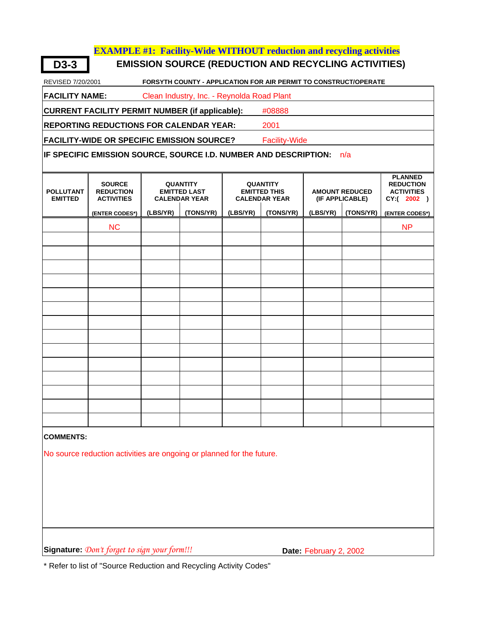#### **EXAMPLE #1: Facility-Wide WITHOUT reduction and recycling activities**

**D3-3 EMISSION SOURCE (REDUCTION AND RECYCLING ACTIVITIES)**

REVISED 7/20/2001 **FORSYTH COUNTY - APPLICATION FOR AIR PERMIT TO CONSTRUCT/OPERATE**

**FACILITY NAME:** Clean Industry, Inc. - Reynolda Road Plant

**CURRENT FACILITY PERMIT NUMBER (if applicable):** #08888

**REPORTING REDUCTIONS FOR CALENDAR YEAR:** 2001

**FACILITY-WIDE OR SPECIFIC EMISSION SOURCE?** Facility-Wide

**IF SPECIFIC EMISSION SOURCE, SOURCE I.D. NUMBER AND DESCRIPTION:** n/a

| <b>POLLUTANT</b><br><b>EMITTED</b> | <b>SOURCE</b><br><b>REDUCTION</b><br><b>ACTIVITIES</b> |          | <b>QUANTITY</b><br><b>EMITTED LAST</b><br><b>CALENDAR YEAR</b> |          | <b>QUANTITY</b><br><b>EMITTED THIS</b><br><b>CALENDAR YEAR</b> | <b>AMOUNT REDUCED</b><br>(IF APPLICABLE) |           | <b>PLANNED</b><br><b>REDUCTION</b><br><b>ACTIVITIES</b><br>CY:( 2002 ) |
|------------------------------------|--------------------------------------------------------|----------|----------------------------------------------------------------|----------|----------------------------------------------------------------|------------------------------------------|-----------|------------------------------------------------------------------------|
|                                    | (ENTER CODES*)                                         | (LBS/YR) | (TONS/YR)                                                      | (LBS/YR) | (TONS/YR)                                                      | (LBS/YR)                                 | (TONS/YR) | (ENTER CODES*)                                                         |
|                                    | NC                                                     |          |                                                                |          |                                                                |                                          |           | <b>NP</b>                                                              |
|                                    |                                                        |          |                                                                |          |                                                                |                                          |           |                                                                        |
|                                    |                                                        |          |                                                                |          |                                                                |                                          |           |                                                                        |
|                                    |                                                        |          |                                                                |          |                                                                |                                          |           |                                                                        |
|                                    |                                                        |          |                                                                |          |                                                                |                                          |           |                                                                        |
|                                    |                                                        |          |                                                                |          |                                                                |                                          |           |                                                                        |
|                                    |                                                        |          |                                                                |          |                                                                |                                          |           |                                                                        |
|                                    |                                                        |          |                                                                |          |                                                                |                                          |           |                                                                        |
|                                    |                                                        |          |                                                                |          |                                                                |                                          |           |                                                                        |
|                                    |                                                        |          |                                                                |          |                                                                |                                          |           |                                                                        |
|                                    |                                                        |          |                                                                |          |                                                                |                                          |           |                                                                        |
|                                    |                                                        |          |                                                                |          |                                                                |                                          |           |                                                                        |
|                                    |                                                        |          |                                                                |          |                                                                |                                          |           |                                                                        |
|                                    |                                                        |          |                                                                |          |                                                                |                                          |           |                                                                        |
|                                    |                                                        |          |                                                                |          |                                                                |                                          |           |                                                                        |

#### **COMMENTS:**

No source reduction activities are ongoing or planned for the future.

**Signature:** *Don't forget to sign your form!!!* **Date:** February 2, 2002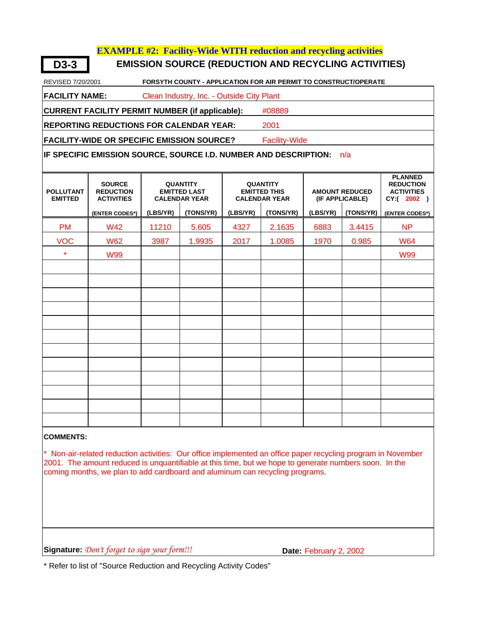#### **EXAMPLE #2: Facility-Wide WITH reduction and recycling activities**

**D3-3 EMISSION SOURCE (REDUCTION AND RECYCLING ACTIVITIES)**

REVISED 7/20/2001 **FORSYTH COUNTY - APPLICATION FOR AIR PERMIT TO CONSTRUCT/OPERATE**

**FACILITY NAME:** Clean Industry, Inc. - Outside City Plant

**CURRENT FACILITY PERMIT NUMBER (if applicable):** #08889

**REPORTING REDUCTIONS FOR CALENDAR YEAR:** 2001

FACILITY-WIDE OR SPECIFIC EMISSION SOURCE? Facility-Wide

**IF SPECIFIC EMISSION SOURCE, SOURCE I.D. NUMBER AND DESCRIPTION:** n/a

| <b>POLLUTANT</b><br><b>EMITTED</b> | <b>SOURCE</b><br><b>REDUCTION</b><br><b>ACTIVITIES</b> |          | <b>QUANTITY</b><br><b>EMITTED LAST</b><br><b>CALENDAR YEAR</b> |          | <b>QUANTITY</b><br><b>EMITTED THIS</b><br><b>CALENDAR YEAR</b> | <b>AMOUNT REDUCED</b><br>(IF APPLICABLE) |           | <b>PLANNED</b><br><b>REDUCTION</b><br><b>ACTIVITIES</b><br>CY:( 2002 ) |
|------------------------------------|--------------------------------------------------------|----------|----------------------------------------------------------------|----------|----------------------------------------------------------------|------------------------------------------|-----------|------------------------------------------------------------------------|
|                                    | (ENTER CODES*)                                         | (LBS/YR) | (TONS/YR)                                                      | (LBS/YR) | (TONS/YR)                                                      | (LBS/YR)                                 | (TONS/YR) | (ENTER CODES*)                                                         |
| <b>PM</b>                          | <b>W42</b>                                             | 11210    | 5.605                                                          | 4327     | 2.1635                                                         | 6883                                     | 3.4415    | <b>NP</b>                                                              |
| <b>VOC</b>                         | <b>W62</b>                                             | 3987     | 1.9935                                                         | 2017     | 1.0085                                                         | 1970                                     | 0.985     | <b>W64</b>                                                             |
| $\star$                            | <b>W99</b>                                             |          |                                                                |          |                                                                |                                          |           | <b>W99</b>                                                             |
|                                    |                                                        |          |                                                                |          |                                                                |                                          |           |                                                                        |
|                                    |                                                        |          |                                                                |          |                                                                |                                          |           |                                                                        |
|                                    |                                                        |          |                                                                |          |                                                                |                                          |           |                                                                        |
|                                    |                                                        |          |                                                                |          |                                                                |                                          |           |                                                                        |
|                                    |                                                        |          |                                                                |          |                                                                |                                          |           |                                                                        |
|                                    |                                                        |          |                                                                |          |                                                                |                                          |           |                                                                        |
|                                    |                                                        |          |                                                                |          |                                                                |                                          |           |                                                                        |
|                                    |                                                        |          |                                                                |          |                                                                |                                          |           |                                                                        |
|                                    |                                                        |          |                                                                |          |                                                                |                                          |           |                                                                        |
|                                    |                                                        |          |                                                                |          |                                                                |                                          |           |                                                                        |
|                                    |                                                        |          |                                                                |          |                                                                |                                          |           |                                                                        |
|                                    |                                                        |          |                                                                |          |                                                                |                                          |           |                                                                        |

#### **COMMENTS:**

\* Non-air-related reduction activities: Our office implemented an office paper recycling program in November 2001. The amount reduced is unquantifiable at this time, but we hope to generate numbers soon. In the coming months, we plan to add cardboard and aluminum can recycling programs.

**Signature:** *Don't forget to sign your form!!!* **Date:** February 2, 2002